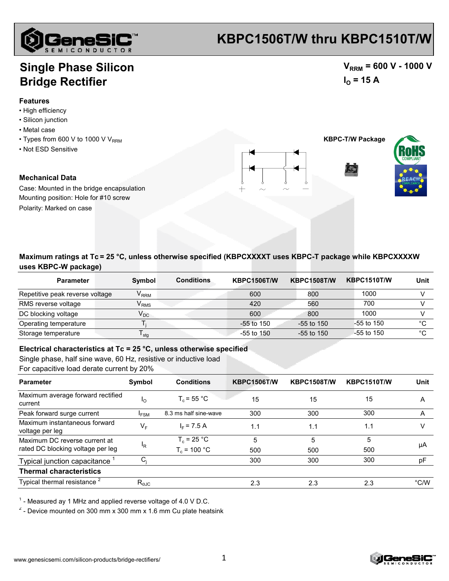

## **KBPC1506T/W thru KBPC1510T/W**

### **Single Phase Silicon Bridge Rectifier**

#### **Features**

- High efficiency
- Silicon junction
- Metal case
- $\cdot$  Types from 600 V to 1000 V V<sub>RRM</sub>
- Not ESD Sensitive

#### **Mechanical Data**

Case: Mounted in the bridge encapsulation Mounting position: Hole for #10 screw Polarity: Marked on case





 $V_{RRM}$  = 600 V - 1000 V

 $I<sub>O</sub>$  = 15 A

**Maximum ratings at Tc = 25 °C, unless otherwise specified (KBPCXXXXT uses KBPC-T package while KBPCXXXXW uses KBPC-W package)**

| <b>Parameter</b>                | <b>Symbol</b>               | <b>Conditions</b> | <b>KBPC1506T/W</b> | <b>KBPC1508T/W</b> | <b>KBPC1510T/W</b> | Unit |
|---------------------------------|-----------------------------|-------------------|--------------------|--------------------|--------------------|------|
| Repetitive peak reverse voltage | $\mathsf{V}_\mathsf{RRM}$   |                   | 600                | 800                | 1000               |      |
| RMS reverse voltage             | $\mathsf{V}_{\mathsf{RMS}}$ |                   | 420                | 560                | 700                |      |
| DC blocking voltage             | $\mathsf{V}_\mathsf{DC}$    |                   | 600                | 800                | 1000               |      |
| Operating temperature           |                             |                   | $-55$ to 150       | $-55$ to 150       | $-55$ to 150       | °C   |
| Storage temperature             | $\mathsf{I}$ stg            |                   | $-55$ to $150$     | $-55$ to 150       | $-55$ to 150       | °C   |

**Electrical characteristics at Tc = 25 °C, unless otherwise specified**

Single phase, half sine wave, 60 Hz, resistive or inductive load

For capacitive load derate current by 20%

| <b>Parameter</b>                                 | Symbol                 | <b>Conditions</b>     | <b>KBPC1506T/W</b> | <b>KBPC1508T/W</b> | <b>KBPC1510T/W</b> | Unit          |
|--------------------------------------------------|------------------------|-----------------------|--------------------|--------------------|--------------------|---------------|
| Maximum average forward rectified<br>current     | <sup>1</sup> O         | $T_c$ = 55 °C         | 15                 | 15                 | 15                 | A             |
| Peak forward surge current                       | $I_{FSM}$              | 8.3 ms half sine-wave | 300                | 300                | 300                | A             |
| Maximum instantaneous forward<br>voltage per leg | $V_F$                  | $I_F$ = 7.5 A         | 1.1                | 1.1                | 1.1                | V             |
| Maximum DC reverse current at                    |                        | $T_c = 25 °C$         | 5                  | 5                  | 5                  | μA            |
| rated DC blocking voltage per leg                | 'R                     | $T_c$ = 100 °C        | 500                | 500                | 500                |               |
| Typical junction capacitance                     | $C_i$                  |                       | 300                | 300                | 300                | pF            |
| <b>Thermal characteristics</b>                   |                        |                       |                    |                    |                    |               |
| Typical thermal resistance <sup>2</sup>          | $R_{\text{\tiny eJC}}$ |                       | 2.3                | 2.3                | 2.3                | $\degree$ C/W |

 $1$  - Measured ay 1 MHz and applied reverse voltage of 4.0 V D.C.

 $2$  - Device mounted on 300 mm x 300 mm x 1.6 mm Cu plate heatsink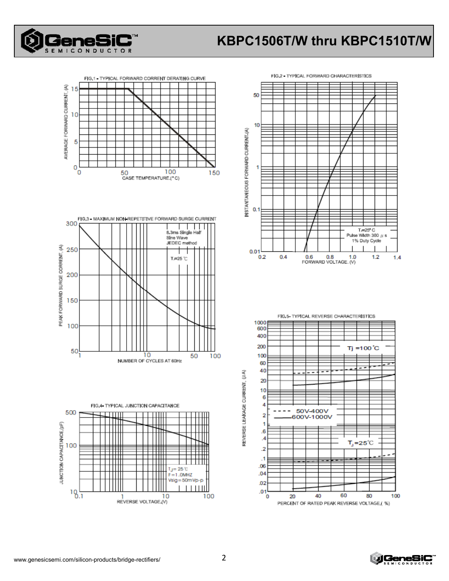

# **KBPC1506T/W thru KBPC1510T/W**









FIG.5- TYPICAL REVERSE CHARACTERISTICS